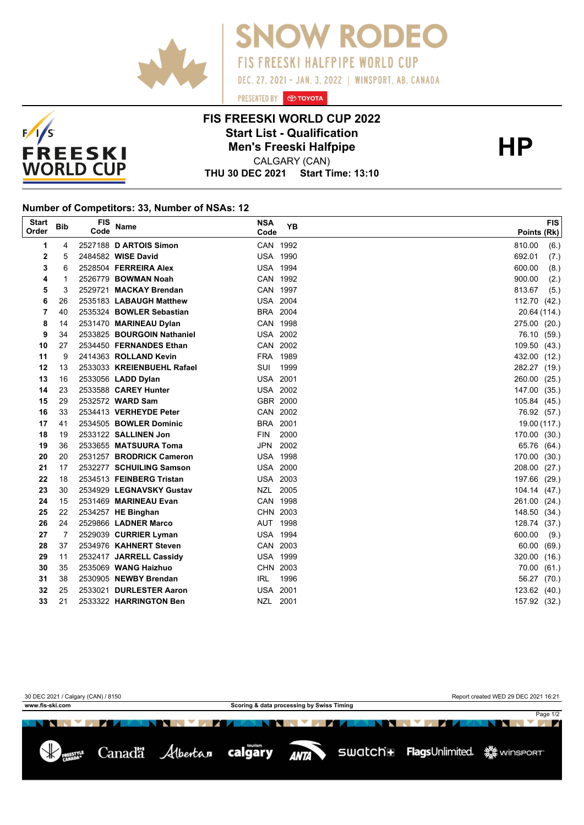



PRESENTED BY **O TOYOTA** 



## **FIS FREESKI WORLD CUP 2022 Start List - Qualification HP Men's Freeski Halfpipe**

**THU 30 DEC 2021 Start Time: 13:10** CALGARY (CAN)

## **Number of Competitors: 33, Number of NSAs: 12**

| <b>Start</b><br>Order | <b>Bib</b> | FIS<br>Code | Name                       | <b>NSA</b><br>Code | <b>YB</b> | <b>FIS</b><br>Points (Rk) |
|-----------------------|------------|-------------|----------------------------|--------------------|-----------|---------------------------|
| 1                     | 4          |             | 2527188 D ARTOIS Simon     | CAN 1992           |           | 810.00<br>(6.)            |
| 2                     | 5          |             | 2484582 WISE David         | <b>USA 1990</b>    |           | 692.01<br>(7.)            |
| 3                     | 6          |             | 2528504 FERREIRA Alex      | <b>USA 1994</b>    |           | 600.00<br>(8.)            |
| 4                     | 1          |             | 2526779 BOWMAN Noah        | CAN 1992           |           | 900.00<br>(2.)            |
| 5                     | 3          |             | 2529721 MACKAY Brendan     | CAN 1997           |           | 813.67<br>(5.)            |
| 6                     | 26         |             | 2535183 LABAUGH Matthew    | <b>USA 2004</b>    |           | 112.70<br>(42.)           |
| 7                     | 40         |             | 2535324 BOWLER Sebastian   | BRA 2004           |           | 20.64 (114.)              |
| 8                     | 14         |             | 2531470 MARINEAU Dylan     | CAN 1998           |           | 275.00 (20.)              |
| 9                     | 34         |             | 2533825 BOURGOIN Nathaniel | <b>USA 2002</b>    |           | 76.10 (59.)               |
| 10                    | 27         |             | 2534450 FERNANDES Ethan    | CAN 2002           |           | 109.50 (43.)              |
| 11                    | 9          |             | 2414363 ROLLAND Kevin      | FRA 1989           |           | 432.00 (12.)              |
| 12                    | 13         |             | 2533033 KREIENBUEHL Rafael | SUI                | 1999      | 282.27 (19.)              |
| 13                    | 16         |             | 2533056 LADD Dylan         | <b>USA 2001</b>    |           | 260.00 (25.)              |
| 14                    | 23         |             | 2533588 CAREY Hunter       | <b>USA 2002</b>    |           | 147.00 (35.)              |
| 15                    | 29         |             | 2532572 WARD Sam           | GBR 2000           |           | 105.84 (45.)              |
| 16                    | 33         |             | 2534413 VERHEYDE Peter     | CAN 2002           |           | 76.92 (57.)               |
| 17                    | 41         |             | 2534505 BOWLER Dominic     | BRA 2001           |           | 19.00 (117.)              |
| 18                    | 19         |             | 2533122 SALLINEN Jon       | <b>FIN</b>         | 2000      | 170.00 (30.)              |
| 19                    | 36         |             | 2533655 MATSUURA Toma      | JPN                | 2002      | 65.76 (64.)               |
| 20                    | 20         |             | 2531257 BRODRICK Cameron   | <b>USA 1998</b>    |           | 170.00 (30.)              |
| 21                    | 17         |             | 2532277 SCHUILING Samson   | <b>USA 2000</b>    |           | 208.00<br>(27.)           |
| 22                    | 18         |             | 2534513 FEINBERG Tristan   | <b>USA 2003</b>    |           | 197.66<br>(29.)           |
| 23                    | 30         |             | 2534929 LEGNAVSKY Gustav   | NZL 2005           |           | 104.14 (47.)              |
| 24                    | 15         |             | 2531469 MARINEAU Evan      | CAN 1998           |           | 261.00 (24.)              |
| 25                    | 22         |             | 2534257 HE Binghan         | CHN 2003           |           | 148.50 (34.)              |
| 26                    | 24         |             | 2529866 LADNER Marco       | AUT 1998           |           | 128.74 (37.)              |
| 27                    | 7          |             | 2529039 CURRIER Lyman      | <b>USA 1994</b>    |           | 600.00<br>(9.)            |
| 28                    | 37         |             | 2534976 KAHNERT Steven     | CAN 2003           |           | 60.00<br>(69.)            |
| 29                    | 11         |             | 2532417 JARRELL Cassidy    | <b>USA 1999</b>    |           | 320.00<br>(16.)           |
| 30                    | 35         |             | 2535069 WANG Haizhuo       | CHN 2003           |           | 70.00<br>(61.)            |
| 31                    | 38         |             | 2530905 NEWBY Brendan      | <b>IRL</b>         | 1996      | 56.27<br>(70.)            |
| 32                    | 25         |             | 2533021 DURLESTER Aaron    | <b>USA 2001</b>    |           | 123.62 (40.)              |
| 33                    | 21         |             | 2533322 HARRINGTON Ben     | NZL 2001           |           | 157.92 (32.)              |